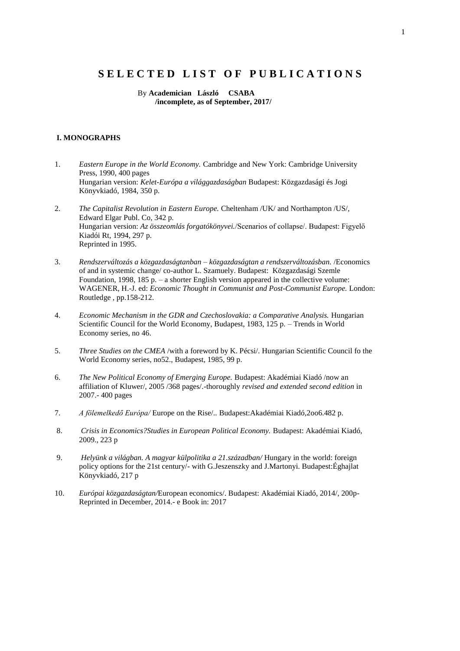# S E L E C T E D L I S T O F P U B L I C A T I O N S

 By **Academician László CSABA /incomplete, as of September, 2017/**

### **I. MONOGRAPHS**

- 1. *Eastern Europe in the World Economy.* Cambridge and New York: Cambridge University Press, 1990, 400 pages Hungarian version: *Kelet-Európa a világgazdaságban* Budapest: Közgazdasági és Jogi Könyvkiadó, 1984, 350 p.
- 2. *The Capitalist Revolution in Eastern Europe.* Cheltenham /UK/ and Northampton /US/, Edward Elgar Publ. Co, 342 p. Hungarian version: *Az összeomlás forgatókönyvei.*/Scenarios of collapse/. Budapest: Figyelő Kiadói Rt, 1994, 297 p. Reprinted in 1995.
- 3. *Rendszerváltozás a közgazdaságtanban – közgazdaságtan a rendszerváltozásban.* /Economics of and in systemic change/ co-author L. Szamuely. Budapest: Közgazdasági Szemle Foundation, 1998, 185 p. – a shorter English version appeared in the collective volume: WAGENER, H.-J. ed: *Economic Thought in Communist and Post-Communist Europe.* London: Routledge , pp.158-212.
- 4. *Economic Mechanism in the GDR and Czechoslovakia: a Comparative Analysis.* Hungarian Scientific Council for the World Economy, Budapest, 1983, 125 p. – Trends in World Economy series, no 46.
- 5. *Three Studies on the CMEA* /with a foreword by K. Pécsi/. Hungarian Scientific Council fo the World Economy series, no52., Budapest, 1985, 99 p.
- 6. *The New Political Economy of Emerging Europe.* Budapest: Akadémiai Kiadó /now an affiliation of Kluwer/, 2005 /368 pages/.-thoroughly *revised and extended second edition* in 2007.- 400 pages
- 7. *A fölemelkedő Európa/* Europe on the Rise/.*.* Budapest:Akadémiai Kiadó,2oo6.482 p.
- 8. *Crisis in Economics?Studies in European Political Economy.* Budapest: Akadémiai Kiadó, 2009., 223 p
- 9. *Helyünk a világban. A magyar külpolitika a 21.században/* Hungary in the world: foreign policy options for the 21st century/- with G.Jeszenszky and J.Martonyi. Budapest:Éghajlat Könyvkiadó, 217 p
- 10. *Európai közgazdaságtan/*European economics/. Budapest: Akadémiai Kiadó, 2014/, 200p-Reprinted in December, 2014.- e Book in: 2017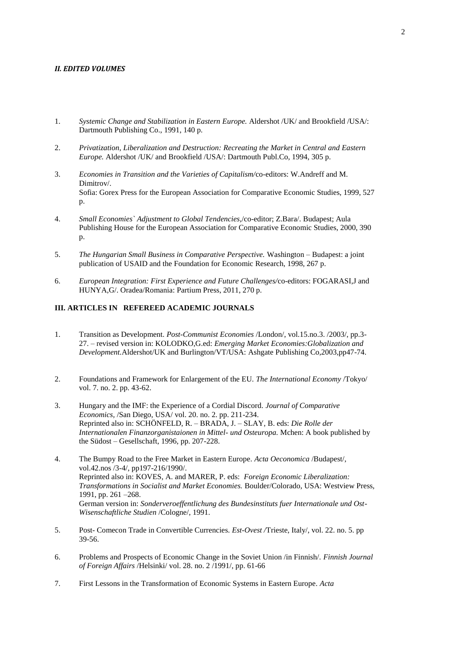#### *II. EDITED VOLUMES*

- 1. *Systemic Change and Stabilization in Eastern Europe.* Aldershot /UK/ and Brookfield /USA/: Dartmouth Publishing Co., 1991, 140 p.
- 2. *Privatization, Liberalization and Destruction: Recreating the Market in Central and Eastern Europe.* Aldershot /UK/ and Brookfield /USA/: Dartmouth Publ.Co, 1994, 305 p.
- 3. *Economies in Transition and the Varieties of Capitalism/*co-editors: W.Andreff and M. Dimitrov/. Sofia: Gorex Press for the European Association for Comparative Economic Studies, 1999, 527 p.
- 4. *Small Economies` Adjustment to Global Tendencies,*/co-editor; Z.Bara/. Budapest; Aula Publishing House for the European Association for Comparative Economic Studies, 2000, 390 p.
- 5. *The Hungarian Small Business in Comparative Perspective.* Washington Budapest: a joint publication of USAID and the Foundation for Economic Research, 1998, 267 p.
- 6. *European Integration: First Experience and Future Challenges/*co-editors: FOGARASI,J and HUNYA,G/. Oradea/Romania: Partium Press, 2011, 270 p.

# **III. ARTICLES IN REFEREED ACADEMIC JOURNALS**

- 1. Transition as Development. *Post-Communist Economies* /London/, vol.15.no.3. /2003/, pp.3- 27. – revised version in: KOLODKO,G.ed: *Emerging Market Economies:Globalization and Development.*Aldershot/UK and Burlington/VT/USA: Ashgate Publishing Co,2003,pp47-74.
- 2. Foundations and Framework for Enlargement of the EU. *The International Economy* /Tokyo/ vol. 7. no. 2. pp. 43-62.
- 3. Hungary and the IMF: the Experience of a Cordial Discord. *Journal of Comparative Economics,* /San Diego, USA/ vol. 20. no. 2. pp. 211-234. Reprinted also in: SCHÖNFELD, R. – BRADA, J. – SLAY, B. eds: *Die Rolle der Internationalen Finanzorganistaionen in Mittel- und Osteuropa.* Mchen: A book published by the Südost – Gesellschaft, 1996, pp. 207-228.
- 4. The Bumpy Road to the Free Market in Eastern Europe*. Acta Oeconomica* /Budapest/, vol.42.nos /3-4/, pp197-216/1990/. Reprinted also in: KOVES, A. and MARER, P. eds: *Foreign Economic Liberalization: Transformations in Socialist and Market Economies.* Boulder/Colorado, USA: Westview Press, 1991, pp. 261 –268. German version in: *Sonderveroeffentlichung des Bundesinstituts fuer Internationale und Ost-Wisenschaftliche Studien* /Cologne/, 1991.
- 5. Post- Comecon Trade in Convertible Currencies. *Est-Ovest /*Trieste, Italy/, vol. 22. no. 5. pp 39-56.
- 6. Problems and Prospects of Economic Change in the Soviet Union /in Finnish/. *Finnish Journal of Foreign Affairs* /Helsinki/ vol. 28. no. 2 /1991/, pp. 61-66
- 7. First Lessons in the Transformation of Economic Systems in Eastern Europe*. Acta*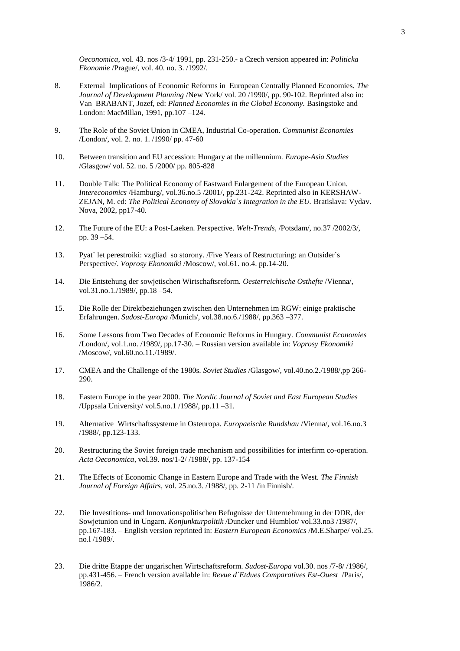*Oeconomica*, vol. 43. nos /3-4/ 1991, pp. 231-250.- a Czech version appeared in: *Politicka Ekonomie* /Prague/, vol. 40. no. 3. /1992/.

- 8. External Implications of Economic Reforms in European Centrally Planned Economies. *The Journal of Development Planning* /New York/ vol. 20 /1990/, pp. 90-102. Reprinted also in: Van BRABANT, Jozef, ed: *Planned Economies in the Global Economy.* Basingstoke and London: MacMillan, 1991, pp.107 –124.
- 9. The Role of the Soviet Union in CMEA, Industrial Co-operation. *Communist Economies*  /London/, vol. 2. no. 1. /1990/ pp. 47-60
- 10. Between transition and EU accession: Hungary at the millennium. *Europe-Asia Studies*  /Glasgow/ vol. 52. no. 5 /2000/ pp. 805-828
- 11. Double Talk: The Political Economy of Eastward Enlargement of the European Union. *Intereconomics* /Hamburg/, vol.36.no.5 /2001/, pp.231-242. Reprinted also in KERSHAW-ZEJAN, M. ed: *The Political Economy of Slovakia`s Integration in the EU.* Bratislava: Vydav. Nova, 2002, pp17-40.
- 12. The Future of the EU: a Post-Laeken. Perspective. *Welt-Trends,* /Potsdam/, no.37 /2002/3/, pp. 39 –54.
- 13. Pyat` let perestroiki: vzgliad so storony. /Five Years of Restructuring: an Outsider`s Perspective/. *Voprosy Ekonomiki* /Moscow/, vol.61. no.4. pp.14-20.
- 14. Die Entstehung der sowjetischen Wirtschaftsreform. *Oesterreichische Osthefte* /Vienna/, vol.31.no.1./1989/, pp.18 – 54.
- 15. Die Rolle der Direktbeziehungen zwischen den Unternehmen im RGW: einige praktische Erfahrungen. *Sudost-Europa* /Munich/, vol.38.no.6./1988/, pp.363 –377.
- 16. Some Lessons from Two Decades of Economic Reforms in Hungary. *Communist Economies*  /London/, vol.1.no. /1989/, pp.17-30. – Russian version available in: *Voprosy Ekonomiki*  /Moscow/, vol.60.no.11./1989/.
- 17. CMEA and the Challenge of the 1980s. *Soviet Studies* /Glasgow/, vol.40.no.2./1988/,pp 266- 290.
- 18. Eastern Europe in the year 2000. *The Nordic Journal of Soviet and East European Studies*  /Uppsala University/ vol.5.no.1 /1988/, pp.11 –31.
- 19. Alternative Wirtschaftssysteme in Osteuropa. *Europaeische Rundshau* /Vienna/, vol.16.no.3 /1988/, pp.123-133.
- 20. Restructuring the Soviet foreign trade mechanism and possibilities for interfirm co-operation. *Acta Oeconomica*, vol.39. nos/1-2/ /1988/, pp. 137-154
- 21. The Effects of Economic Change in Eastern Europe and Trade with the West. *The Finnish Journal of Foreign Affairs,* vol. 25.no.3. /1988/, pp. 2-11 /in Finnish/.
- 22. Die Investitions- und Innovationspolitischen Befugnisse der Unternehmung in der DDR, der Sowjetunion und in Ungarn. *Konjunkturpolitik* /Duncker und Humblot/ vol.33.no3 /1987/, pp.167-183. – English version reprinted in: *Eastern European Economics* /M.E.Sharpe/ vol.25. no.l /1989/.
- 23. Die dritte Etappe der ungarischen Wirtschaftsreform. *Sudost-Europa* vol.30. nos /7-8/ /1986/, pp.431-456. – French version available in: *Revue d`Etdues Comparatives Est-Ouest* /Paris/, 1986/2.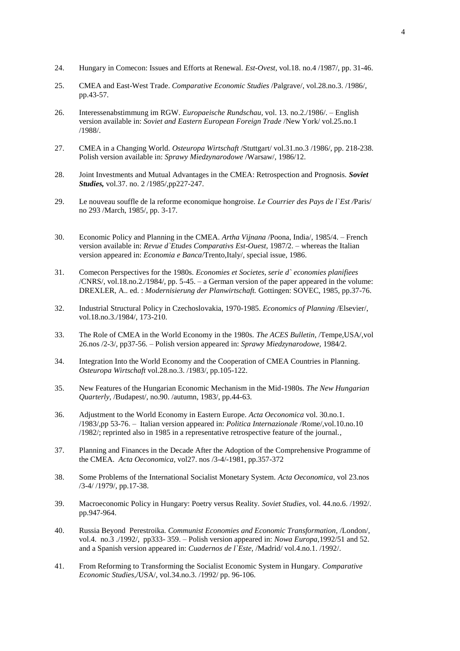- 24. Hungary in Comecon: Issues and Efforts at Renewal. *Est-Ovest,* vol.18. no.4 /1987/, pp. 31-46.
- 25. CMEA and East-West Trade. *Comparative Economic Studies* /Palgrave/, vol.28.no.3. /1986/, pp.43-57.
- 26. Interessenabstimmung im RGW. *Europaeische Rundschau,* vol. 13. no.2./1986/. English version available in: *Soviet and Eastern European Foreign Trade* /New York/ vol.25.no.1 /1988/.
- 27. CMEA in a Changing World. *Osteuropa Wirtschaft* /Stuttgart/ vol.31.no.3 /1986/, pp. 218-238. Polish version available in: *Sprawy Miedzynarodowe* /Warsaw/, 1986/12.
- 28. Joint Investments and Mutual Advantages in the CMEA: Retrospection and Prognosis. *Soviet Studies,* vol.37. no. 2 /1985/,pp227-247.
- 29. Le nouveau souffle de la reforme economique hongroise. *Le Courrier des Pays de l`Est /*Paris/ no 293 /March, 1985/, pp. 3-17.
- 30. Economic Policy and Planning in the CMEA. *Artha Vijnana* /Poona, India/, 1985/4. French version available in: *Revue d`Etudes Comparativs Est-Ouest,* 1987/2. – whereas the Italian version appeared in: *Economia e Banca*/Trento,Italy/, special issue, 1986.
- 31. Comecon Perspectives for the 1980s. *Economies et Societes, serie d` economies planifiees*  /CNRS/, vol.18.no.2./1984/, pp. 5-45. – a German version of the paper appeared in the volume: DREXLER, A.. ed. : *Modernisierung der Planwirtschaft.* Gottingen: SOVEC, 1985, pp.37-76.
- 32. Industrial Structural Policy in Czechoslovakia, 1970-1985. *Economics of Planning* /Elsevier/, vol.18.no.3./1984/, 173-210.
- 33. The Role of CMEA in the World Economy in the 1980s. *The ACES Bulletin*, /Tempe,USA/,vol 26.nos /2-3/, pp37-56. – Polish version appeared in: *Sprawy Miedzynarodowe,* 1984/2.
- 34. Integration Into the World Economy and the Cooperation of CMEA Countries in Planning. *Osteuropa Wirtschaft* vol.28.no.3. /1983/, pp.105-122.
- 35. New Features of the Hungarian Economic Mechanism in the Mid-1980s. *The New Hungarian Quarterly,* /Budapest/, no.90. /autumn, 1983/, pp.44-63.
- 36. Adjustment to the World Economy in Eastern Europe. *Acta Oeconomica* vol. 30.no.1. /1983/,pp 53-76. – Italian version appeared in: *Politica Internazionale* /Rome/,vol.10.no.10 /1982/; reprinted also in 1985 in a representative retrospective feature of the journal.*,*
- 37. Planning and Finances in the Decade After the Adoption of the Comprehensive Programme of the CMEA. *Acta Oeconomica,* vol27. nos /3-4/-1981, pp.357-372
- 38. Some Problems of the International Socialist Monetary System. *Acta Oeconomica,* vol 23.nos /3-4/ /1979/, pp.17-38.
- 39. Macroeconomic Policy in Hungary: Poetry versus Reality. *Soviet Studies,* vol. 44.no.6. /1992/. pp.947-964.
- 40. Russia Beyond Perestroika. *Communist Economies and Economic Transformation,* /London/, vol.4. no.3 ./1992/, pp333- 359. – Polish version appeared in: *Nowa Europa,*1992/51 and 52. and a Spanish version appeared in: *Cuadernos de l`Este,* /Madrid/ vol.4.no.1. /1992/.
- 41. From Reforming to Transforming the Socialist Economic System in Hungary. *Comparative Economic Studies,*/USA/, vol.34.no.3. /1992/ pp. 96-106.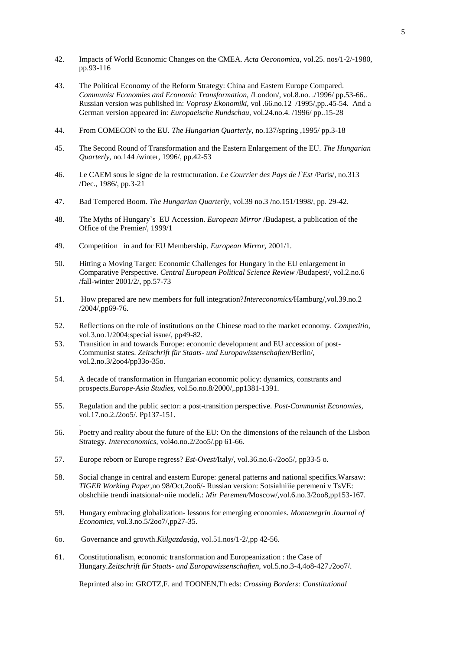- 42. Impacts of World Economic Changes on the CMEA. *Acta Oeconomica,* vol.25. nos/1-2/-1980, pp.93-116
- 43. The Political Economy of the Reform Strategy: China and Eastern Europe Compared. *Communist Economies and Economic Transformation,* /London/, vol.8.no. ./1996/ pp.53-66.. Russian version was published in: *Voprosy Ekonomiki,* vol .66.no.12 /1995/,pp..45-54. And a German version appeared in: *Europaeische Rundschau,* vol.24.no.4. /1996/ pp..15-28
- 44. From COMECON to the EU. *The Hungarian Quarterly,* no.137/spring ,1995/ pp.3-18
- 45. The Second Round of Transformation and the Eastern Enlargement of the EU. *The Hungarian Quarterly,* no.144 /winter, 1996/, pp.42-53
- 46. Le CAEM sous le signe de la restructuration. *Le Courrier des Pays de l`Est* /Paris/, no.313 /Dec., 1986/, pp.3-21
- 47. Bad Tempered Boom. *The Hungarian Quarterly,* vol.39 no.3 /no.151/1998/, pp. 29-42.
- 48. The Myths of Hungary`s EU Accession. *European Mirror* /Budapest, a publication of the Office of the Premier/, 1999/1
- 49. Competition in and for EU Membership. *European Mirror,* 2001/1.
- 50. Hitting a Moving Target: Economic Challenges for Hungary in the EU enlargement in Comparative Perspective. *Central European Political Science Review* /Budapest/, vol.2.no.6 /fall-winter 2001/2/, pp.57-73
- 51. How prepared are new members for full integration?*Intereconomics/*Hamburg/,vol.39.no.2 /2004/,pp69-76.
- 52. Reflections on the role of institutions on the Chinese road to the market economy. *Competitio,* vol.3.no.1/2004;special issue/, pp49-82.
- 53. Transition in and towards Europe: economic development and EU accession of post-Communist states. *Zeitschrift für Staats- und Europawissenschaften*/Berlin/, vol.2.no.3/2oo4/pp33o-35o.
- 54. A decade of transformation in Hungarian economic policy: dynamics, constrants and prospects.*Europe-Asia Studies,* vol.5o.no.8/2000/,.pp1381-1391.
- 55. Regulation and the public sector: a post-transition perspective. *Post-Communist Economies,* vol.17.no.2./2oo5/. Pp137-151.
- 56. Poetry and reality about the future of the EU: On the dimensions of the relaunch of the Lisbon Strategy. *Intereconomics,* vol4o.no.2/2oo5/.pp 61-66.
- 57. Europe reborn or Europe regress? *Est-Ovest/*Italy/, vol.36.no.6-/2oo5/, pp33-5 o.
- 58. Social change in central and eastern Europe: general patterns and national specifics.Warsaw: *TIGER Working Paper,*no 98/Oct,2oo6/- Russian version: Sotsialniiie peremeni v TsVE: obshchiie trendi inatsional~niie modeli.: *Mir Peremen/*Moscow/,vol.6.no.3/2oo8,pp153-167.
- 59. Hungary embracing globalization- lessons for emerging economies. *Montenegrin Journal of Economics,* vol.3.no.5/2oo7/,pp27-35.
- 6o. Governance and growth.*Külgazdaság,* vol.51.nos/1-2/,pp 42-56.

.

61. Constitutionalism, economic transformation and Europeanization : the Case of Hungary.*Zeitschrift für Staats- und Europawissenschaften,* vol.5.no.3-4,4o8-427./2oo7/.

Reprinted also in: GROTZ,F. and TOONEN,Th eds: *Crossing Borders: Constitutional*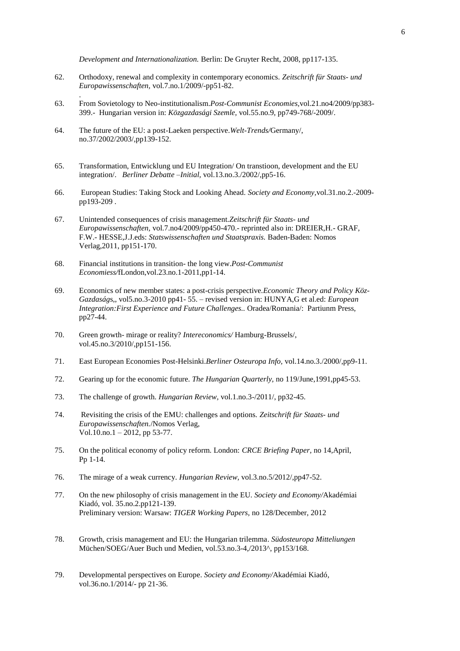*Development and Internationalization.* Berlin: De Gruyter Recht, 2008, pp117-135.

- 62. Orthodoxy, renewal and complexity in contemporary economics. *Zeitschrift für Staats- und Europawissenschaften,* vol.7.no.1/2009/-pp51-82.
- 63. From Sovietology to Neo-institutionalism.*Post-Communist Economies,*vol.21.no4/2009/pp383- 399.- Hungarian version in: *Közgazdasági Szemle,* vol.55.no.9, pp749-768/-2009/.
- 64. The future of the EU: a post-Laeken perspective.*Welt-Trends/*Germany/, no.37/2002/2003/,pp139-152.

.

- 65. Transformation, Entwicklung und EU Integration/ On transtioon, development and the EU integration/. *Berliner Debatte –Initial,* vol.13.no.3./2002/,pp5-16.
- 66. European Studies: Taking Stock and Looking Ahead. *Society and Economy,*vol.31.no.2.-2009 pp193-209 .
- 67. Unintended consequences of crisis management.*Zeitschrift für Staats- und Europawissenschaften,* vol.7.no4/2009/pp450-470.- reprinted also in: DREIER,H.- GRAF, F.W.- HESSE,J.J.eds: *Statswissenschaften und Staatspraxis.* Baden-Baden: Nomos Verlag,2011, pp151-170.
- 68. Financial institutions in transition- the long view.*Post-Communist Economiess/*fLondon,vol.23.no.1-2011,pp1-14.
- 69. Economics of new member states: a post-crisis perspective.*Economic Theory and Policy Köz-Gazdaság*s,, vol5.no.3-2010 pp41- 55. – revised version in: HUNYA,G et al.ed: *European Integration:First Experience and Future Challenges..* Oradea/Romania/: Partiunm Press, pp27-44.
- 70. Green growth- mirage or reality? *Intereconomics/* Hamburg-Brussels/, vol.45.no.3/2010/,pp151-156.
- 71. East European Economies Post-Helsinki.*Berliner Osteuropa Info,* vol.14.no.3./2000/,pp9-11.
- 72. Gearing up for the economic future. *The Hungarian Quarterly,* no 119/June,1991,pp45-53.
- 73. The challenge of growth. *Hungarian Review,* vol.1.no.3-/2011/, pp32-45.
- 74. Revisiting the crisis of the EMU: challenges and options. *Zeitschrift für Staats- und Europawissenschaften.*/Nomos Verlag, Vol.10.no.1 – 2012, pp 53-77.
- 75. On the political economy of policy reform. London: *CRCE Briefing Paper,* no 14*,*April, Pp 1-14.
- 76. The mirage of a weak currency. *Hungarian Review,* vol.3.no.5/2012/,pp47-52.
- 77. On the new philosophy of crisis management in the EU. *Society and Economy/*Akadémiai Kiadó, vol. 35.no.2.pp121-139. Preliminary version: Warsaw: *TIGER Working Papers,* no 128/December, 2012
- 78. Growth, crisis management and EU: the Hungarian trilemma. *Südosteuropa Mitteliungen* Müchen/SOEG/Auer Buch und Medien, vol.53.no.3-4,/2013^, pp153/168.
- 79. Developmental perspectives on Europe. *Society and Economy/*Akadémiai Kiadó*,*  vol.36.no.1/2014/- pp 21-36.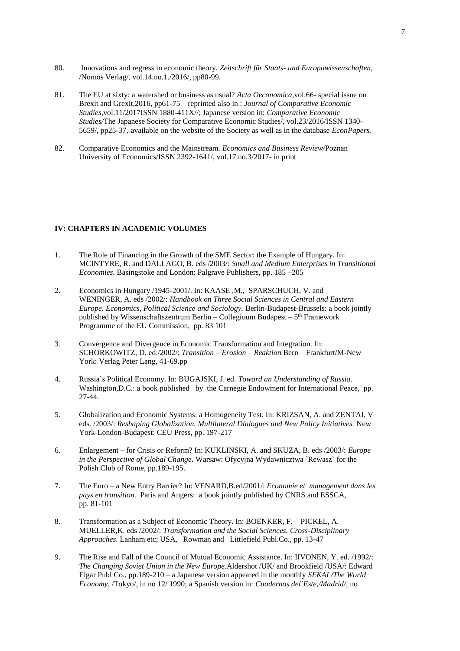- 80. Innovations and regress in economic theory. *Zeitschrift für Staats- und Europawissenschaften,* /Nomos Verlag/, vol.14.no.1./2016/, pp80-99.
- 81. The EU at sixty: a watershed or business as usual? *Acta Oeconomica,*vol.66- special issue on Brexit and Grexit,2016, pp61-75 – reprinted also in : *Journal of Comparative Economic Studies,*vol.11/2017ISSN 1880-411X//; Japanese version in: *Comparative Economic Studies/*The Japanese Society for Comparative Economic Studies/, vol.23/2016/ISSN 1340- 5659/, pp25-37,-available on the website of the Society as well as in the database *EconPapers.*
- 82. Comparative Economics and the Mainstream. *Economics and Business Review/*Poznan University of Economics/ISSN 2392-1641/, vol.17.no.3/2017- in print

### **IV: CHAPTERS IN ACADEMIC VOLUMES**

- 1. The Role of Financing in the Growth of the SME Sector: the Example of Hungary. In: MCINTYRE, R. and DALLAGO, B. eds /2003/: *Small and Medium Enterprises in Transitional Economies.* Basingstoke and London: Palgrave Publishers, pp. 185 –205
- 2. Economics in Hungary /1945-2001/. In: KAASE ,M., SPARSCHUCH, V. and WENINGER, A. eds /2002/: *Handbook on Three Social Sciences in Central and Eastern Europe. Economics, Political Science and Sociology.* Berlin-Budapest-Brussels: a book jointly published by Wissenschaftszentrum Berlin – Collegiuum Budapest –  $5<sup>th</sup>$  Framework Programme of the EU Commission, pp. 83 101
- 3. Convergence and Divergence in Economic Transformation and Integration. In: SCHORKOWITZ, D. ed./2002/: *Transition – Erosion – Reaktion.*Bern – Frankfurt/M-New York: Verlag Peter Lang, 41-69.pp
- 4. Russia`s Political Economy. In: BUGAJSKI, J. ed. *Toward an Understanding of Russia.* Washington, D.C.: a book published by the Carnegie Endowment for International Peace, pp. 27-44.
- 5. Globalization and Economic Systems: a Homogeneity Test. In: KRIZSAN, A. and ZENTAI, V eds. /2003/: *Reshaping Globalization. Multilateral Dialogues and New Policy Initiatives.* New York-London-Budapest: CEU Press, pp. 197-217
- 6. Enlargement for Crisis or Reform? In: KUKLINSKI, A. and SKUZA, B. eds /2003/: *Europe in the Perspective of Global Change.* Warsaw: Ofycyjna Wydawnicztwa `Rewasz` for the Polish Club of Rome, pp.189-195.
- 7. The Euro a New Entry Barrier? In: VENARD,B.ed/2001/: *Economie et management dans les pays en transition.* Paris and Angers: a book jointly published by CNRS and ESSCA, pp. 81-101
- 8. Transformation as a Subject of Economic Theory. In: BOENKER, F. PICKEL, A. MUELLER,K. eds /2002/: *Transformation and the Social Sciences. Cross-Disciplinary Approaches.* Lanham etc; USA, Rowman and Littlefield Publ.Co., pp. 13-47
- 9. The Rise and Fall of the Council of Mutual Economic Assistance. In: IIVONEN, Y. ed. /1992/: *The Changing Soviet Union in the New Europe.*Aldershot /UK/ and Brookfield /USA/: Edward Elgar Publ Co., pp.189-210 – a Japanese version appeared in the monthly *SEKAI /The World Economy*, /Tokyo/, in no 12/ 1990; a Spanish version in: *Cuadernos del`Este,/Madrid/,* no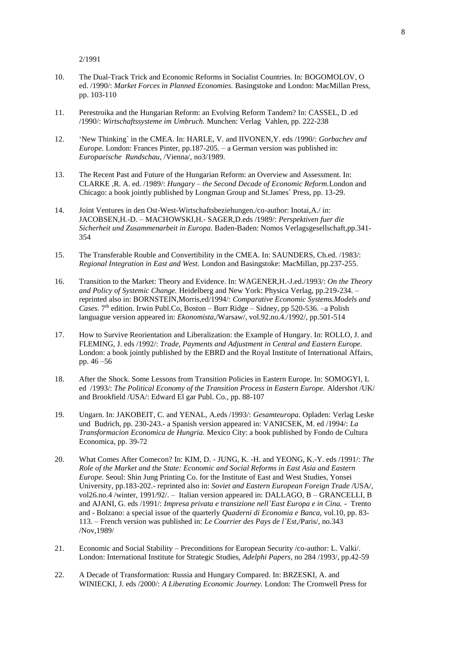2/1991

- 10. The Dual-Track Trick and Economic Reforms in Socialist Countries. In: BOGOMOLOV, O ed. /1990/: *Market Forces in Planned Economies.* Basingstoke and London: MacMillan Press, pp. 103-110
- 11. Perestroika and the Hungarian Reform: an Evolving Reform Tandem? In: CASSEL, D .ed /1990/: *Wirtschaftssysteme im Umbruch.* Munchen: Verlag Vahlen, pp. 222-238
- 12. 'New Thinking` in the CMEA. In: HARLE, V. and IIVONEN,Y. eds /1990/: *Gorbachev and Europe.* London: Frances Pinter, pp.187-205. – a German version was published in: *Europaeische Rundschau,* /Vienna/, no3/1989.
- 13. The Recent Past and Future of the Hungarian Reform: an Overview and Assessment. In: CLARKE ,R. A. ed. /1989/: *Hungary – the Second Decade of Economic Reform.*London and Chicago: a book jointly published by Longman Group and St.James` Press, pp. 13-29.
- 14. Joint Ventures in den Ost-West-Wirtschaftsbeziehungen./co-author: Inotai,A./ in: JACOBSEN,H.-D. – MACHOWSKI,H.- SAGER,D.eds /1989/: *Perspektiven fuer die Sicherheit und Zusammenarbeit in Europa.* Baden-Baden: Nomos Verlagsgesellschaft,pp.341- 354
- 15. The Transferable Rouble and Convertibility in the CMEA. In: SAUNDERS, Ch.ed. /1983/: *Regional Integration in East and West.* London and Basingstoke: MacMillan, pp.237-255.
- 16. Transition to the Market: Theory and Evidence. In: WAGENER,H.-J.ed./1993/: *On the Theory and Policy of Systemic Change.* Heidelberg and New York: Physica Verlag, pp.219-234. – reprinted also in: BORNSTEIN,Morris,ed/1994/: *Comparative Economic Systems.Models and*  Cases. 7<sup>th</sup> edition. Irwin Publ.Co, Boston - Burr Ridge - Sidney, pp 520-536. -a Polish languague version appeared in: *Ekonomista*,/Warsaw/, vol.92.no.4./1992/, pp.501-514
- 17. How to Survive Reorientation and Liberalization: the Example of Hungary. In: ROLLO, J. and FLEMING, J. eds /1992/: *Trade, Payments and Adjustment in Central and Eastern Europe.*  London: a book jointly published by the EBRD and the Royal Institute of International Affairs, pp. 46 –56
- 18. After the Shock. Some Lessons from Transition Policies in Eastern Europe. In: SOMOGYI, L ed /1993/: *The Political Economy of the Transition Process in Eastern Europe.* Aldershot /UK/ and Brookfield /USA/: Edward El gar Publ. Co., pp. 88-107
- 19. Ungarn. In: JAKOBEIT, C. and YENAL, A.eds /1993/: *Gesamteuropa.* Opladen: Verlag Leske und Budrich, pp. 230-243.- a Spanish version appeared in: VANICSEK, M. ed /1994/: *La Transformacion Economica de Hungria.* Mexico City: a book published by Fondo de Cultura Economica, pp. 39-72
- 20. What Comes After Comecon? In: KIM, D. JUNG, K. -H. and YEONG, K.-Y. eds /1991/: *The Role of the Market and the State: Economic and Social Reforms in East Asia and Eastern Europe.* Seoul: Shin Jung Printing Co. for the Institute of East and West Studies, Yonsei University, pp.183-202.- reprinted also in: *Soviet and Eastern European Foreign Trade* /USA/, vol26.no.4 /winter, 1991/92/. – Italian version appeared in: DALLAGO, B – GRANCELLI, B and AJANI, G. eds /1991/: *Impresa privata e transizione nell`East Europa e in Cina. -* Trento and - Bolzano: a special issue of the quarterly *Quaderni di Economia e Banca,* vol.10, pp. 83- 113. – French version was published in: *Le Courrier des Pays de l`Est,*/Paris/, no.343 /Nov,1989/
- 21. Economic and Social Stability Preconditions for European Security /co-author: L. Valki/. London: International Institute for Strategic Studies, *Adelphi Papers*, no 284 /1993/, pp.42-59
- 22. A Decade of Transformation: Russia and Hungary Compared. In: BRZESKI, A. and WINIECKI, J. eds /2000/: *A Liberating Economic Journey.* London: The Cromwell Press for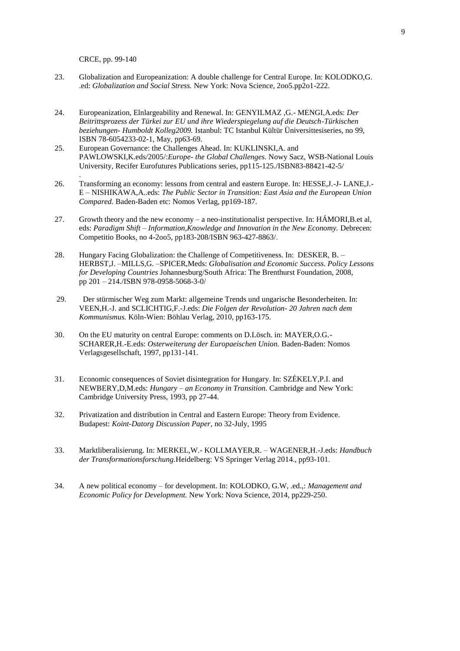CRCE, pp. 99-140

.

- 23. Globalization and Europeanization: A double challenge for Central Europe. In: KOLODKO,G. .ed: *Globalization and Social Stress.* New York: Nova Science, 2oo5.pp2o1-222.
- 24. Europeanization, Elnlargeability and Renewal. In: GENYILMAZ ,G.- MENGI,A.eds: *Der Beitrittsprozess der Türkei zur EU und ihre Wiederspiegelung auf die Deutsch-Türkischen beziehungen- Humboldt Kolleg2009.* Istanbul: TC Istanbul Kültür Üniversittesiseries, no 99, ISBN 78-6054233-02-1, May, pp63-69.
- 25. European Governance: the Challenges Ahead. In: KUKLINSKI,A. and PAWLOWSKI,K.eds/2005/:*Europe- the Global Challenges.* Nowy Sacz, WSB-National Louis University, Recifer Eurofutures Publications series, pp115-125./ISBN83-88421-42-5/
- 26. Transforming an economy: lessons from central and eastern Europe. In: HESSE,J.-J- LANE,J.- E – NISHIKAWA,A..eds: *The Public Sector in Transition: East Asia and the European Union Compared.* Baden-Baden etc: Nomos Verlag, pp169-187.
- 27. Growth theory and the new economy – a neo-institutionalist perspective. In: HÁMORI,B.et al, eds: *Paradigm Shift – Information,Knowledge and Innovation in the New Economy.* Debrecen: Competitio Books, no 4-2oo5, pp183-208/ISBN 963-427-8863/.
- 28. Hungary Facing Globalization: the Challenge of Competitiveness. In: DESKER, B. – HERBST,J. –MILLS,G. –SPICER,Meds: *Globalisation and Economic Success. Policy Lessons for Developing Countries* Johannesburg/South Africa: The Brenthurst Foundation, 2008, pp 201 – 214./ISBN 978-0958-5068-3-0/
- 29. Der stürmischer Weg zum Markt: allgemeine Trends und ungarische Besonderheiten. In: VEEN,H.-J. and SCLICHTIG,F.-J.eds: *Die Folgen der Revolution- 20 Jahren nach dem Kommunismus.* Köln-Wien: Böhlau Verlag, 2010, pp163-175.
- 30. On the EU maturity on central Europe: comments on D.Lösch. in: MAYER,O.G.- SCHARER,H.-E.eds: *Osterweiterung der Europaeischen Union.* Baden-Baden: Nomos Verlagsgesellschaft, 1997, pp131-141.
- 31. Economic consequences of Soviet disintegration for Hungary. In: SZÉKELY,P.I. and NEWBERY,D,M.eds: *Hungary – an Economy in Transition.* Cambridge and New York: Cambridge University Press, 1993, pp 27-44.
- 32. Privatization and distribution in Central and Eastern Europe: Theory from Evidence. Budapest: *Koint-Datorg Discussion Paper,* no 32-July, 1995
- 33. Marktliberalisierung. In: MERKEL,W.- KOLLMAYER,R. – WAGENER,H.-J.eds: *Handbuch der Transformationsforschung.*Heidelberg: VS Springer Verlag 2014., pp93-101.
- 34. A new political economy – for development. In: KOLODKO, G.W, .ed.,: *Management and Economic Policy for Development.* New York: Nova Science, 2014, pp229-250.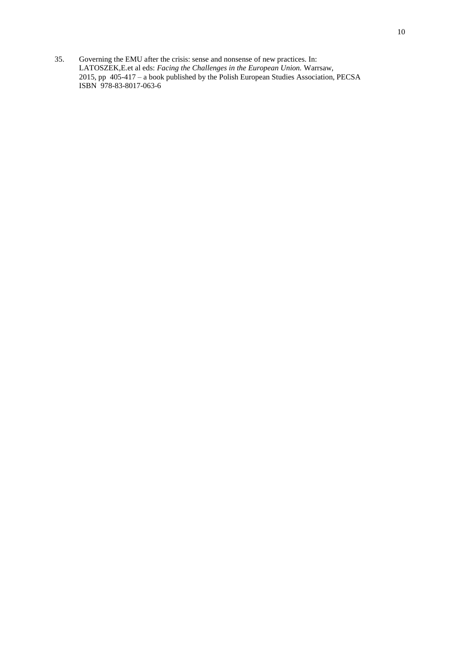35. Governing the EMU after the crisis: sense and nonsense of new practices. In: LATOSZEK,E.et al eds: *Facing the Challenges in the European Union.* Warrsaw, 2015, pp 405-417 – a book published by the Polish European Studies Association, PECSA ISBN 978-83-8017-063-6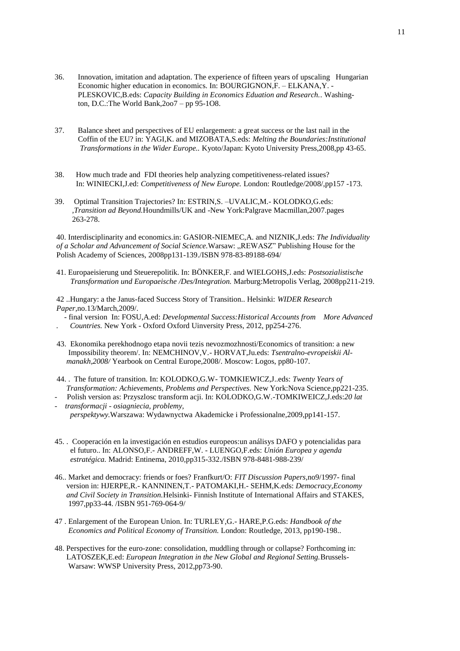- 36. Innovation, imitation and adaptation. The experience of fifteen years of upscaling Hungarian Economic higher education in economics. In: BOURGIGNON,F. – ELKANA,Y. - PLESKOVIC,B.eds: *Capacity Building in Economics Eduation and Research..* Washing ton, D.C.:The World Bank,2oo7 – pp 95-1O8.
- 37. Balance sheet and perspectives of EU enlargement: a great success or the last nail in the Coffin of the EU? in: YAGI,K. and MIZOBATA,S.eds: *Melting the Boundaries:Institutional Transformations in the Wider Europe..* Kyoto/Japan: Kyoto University Press,2008,pp 43-65.
- 38. How much trade and FDI theories help analyzing competitiveness-related issues? In: WINIECKI,J.ed: *Competitiveness of New Europe.* London: Routledge/2008/,pp157 -173.
- 39. Optimal Transition Trajectories? In: ESTRIN,S. –UVALIC,M.- KOLODKO,G.eds:  *,Transition ad Beyond.*Houndmills/UK and -New York:Palgrave Macmillan,2007.pages 263-278.

40. Interdisciplinarity and economics.in: GASIOR-NIEMEC,A. and NIZNIK,J.eds: *The Individuality of a Scholar and Advancement of Social Science.*Warsaw: "REWASZ" Publishing House for the Polish Academy of Sciences, 2008pp131-139./ISBN 978-83-89188-694/

41. Europaeisierung und Steuerepolitik. In: BÖNKER,F. and WIELGOHS,J.eds: *Postsozialistische Transformation und Europaeische /Des/Integration.* Marburg:Metropolis Verlag, 2008pp211-219.

42 ..Hungary: a the Janus-faced Success Story of Transition.. Helsinki: *WIDER Research Paper,*no.13/March,2009/.

- final version In: FOSU,A.ed: *Developmental Success:Historical Accounts from More Advanced* 

- *. Countries.* New York Oxford Oxford Uinversity Press, 2012, pp254-276.
- 43. Ekonomika perekhodnogo etapa novii tezis nevozmozhnosti/Economics of transition: a new Impossibility theorem/. In: NEMCHINOV,V.- HORVAT,Ju.eds: *Tsentralno-evropeiskii Al manakh,2008/* Yearbook on Central Europe,2008/. Moscow: Logos, pp80-107.
- 44. . The future of transition. In: KOLODKO,G.W- TOMKIEWICZ,J..eds: *Twenty Years of Transformation: Achievements, Problems and Perspectives.* New York:Nova Science,pp221-235.
- Polish version as: Przyszlosc transform acji. In: KOLODKO,G.W.-TOMKIWEICZ,J.eds:*20 lat - transformacji - osiagniecia, problemy,*
- *perspektywy.*Warszawa: Wydawnyctwa Akademicke i Professionalne,2009,pp141-157.
- 45. . Cooperación en la investigación en estudios europeos:un análisys DAFO y potencialidas para el futuro.. In: ALONSO,F.- ANDREFF,W. - LUENGO,F.eds: *Unión Europea y agenda estratégica.* Madrid: Entinema, 2010,pp315-332./ISBN 978-8481-988-239/
- 46.. Market and democracy: friends or foes? Franfkurt/O: *FIT Discussion Papers,*no9/1997- final version in: HJERPE,R.- KANNINEN,T.- PATOMAKI,H.- SEHM,K.eds: *Democracy,Economy and Civil Society in Transition.*Helsinki- Finnish Institute of International Affairs and STAKES, 1997,pp33-44. /ISBN 951-769-064-9/
- 47 . Enlargement of the European Union. In: TURLEY,G.- HARE,P.G.eds: *Handbook of the Economics and Political Economy of Transition.* London: Routledge, 2013, pp190-198..
- 48. Perspectives for the euro-zone: consolidation, muddling through or collapse? Forthcoming in: LATOSZEK,E.ed: *European Integration in the New Global and Regional Setting.*Brussels- Warsaw: WWSP University Press, 2012,pp73-90.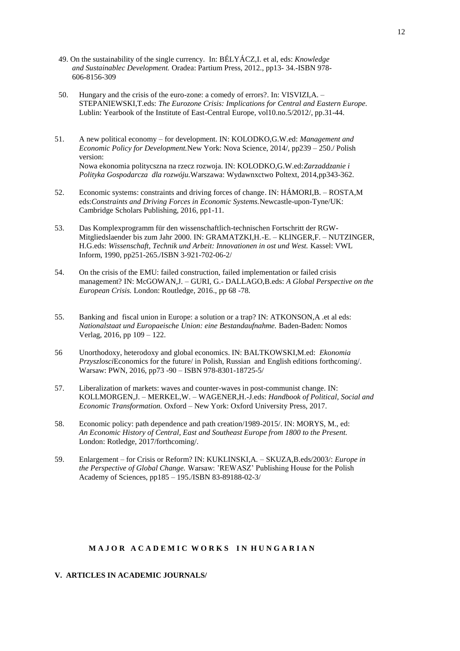- 49. On the sustainability of the single currency. In: BÉLYÁCZ,I. et al, eds: *Knowledge and Sustainablec Development.* Oradea: Partium Press, 2012., pp13- 34.-ISBN 978- 606-8156-309
- 50. Hungary and the crisis of the euro-zone: a comedy of errors?. In: VISVIZI,A. – STEPANIEWSKI,T.eds: *The Eurozone Crisis: Implications for Central and Eastern Europe.* Lublin: Yearbook of the Institute of East-Central Europe, vol10.no.5/2012/, pp.31-44.
- 51. A new political economy – for development. IN: KOLODKO,G.W.ed: *Management and Economic Policy for Development.*New York: Nova Science, 2014/, pp239 – 250./ Polish version: Nowa ekonomia politycszna na rzecz rozwoja. IN: KOLODKO,G.W.ed:*Zarzaddzanie i Polityka Gospodarcza dla rozwóju.*Warszawa: Wydawnxctwo Poltext, 2014,pp343-362.
- 52. Economic systems: constraints and driving forces of change. IN: HÁMORI,B. – ROSTA,M eds:*Constraints and Driving Forces in Economic Systems.*Newcastle-upon-Tyne/UK: Cambridge Scholars Publishing, 2016, pp1-11.
- 53. Das Komplexprogramm für den wissenschaftlich-technischen Fortschritt der RGW-Mitgliedslaender bis zum Jahr 2000. IN: GRAMATZKI,H.-E. – KLINGER,F. – NUTZINGER, H.G.eds: Wissenschaft, Technik und Arbeit: Innovationen in ost und West. Kassel: VWL Inform, 1990, pp251-265./ISBN 3-921-702-06-2/
- 54. On the crisis of the EMU: failed construction, failed implementation or failed crisis management? IN: McGOWAN,J. – GURI, G.- DALLAGO,B.eds: *A Global Perspective on the European Crisis.* London: Routledge, 2016., pp 68 -78.
- 55. Banking and fiscal union in Europe: a solution or a trap? IN: ATKONSON,A .et al eds: *Nationalstaat und Europaeische Union: eine Bestandaufnahme.* Baden-Baden: Nomos Verlag, 2016, pp 109 – 122.
- 56 Unorthodoxy, heterodoxy and global economics. IN: BALTKOWSKI,M.ed: *Ekonomia Przyszlosci*Economics for the future/ in Polish, Russian and English editions forthcoming/. Warsaw: PWN, 2016, pp73 -90 – ISBN 978-8301-18725-5/
- 57. Liberalization of markets: waves and counter-waves in post-communist change. IN: KOLLMORGEN,J. – MERKEL,W. – WAGENER,H.-J.eds: *Handbook of Political, Social and Economic Transformation.* Oxford – New York: Oxford University Press, 2017.
- 58. Economic policy: path dependence and path creation/1989-2015/. IN: MORYS, M., ed: *An Economic History of Central, East and Southeast Europe from 1800 to the Present.* London: Rotledge, 2017/forthcoming/.
- 59. Enlargement – for Crisis or Reform? IN: KUKLINSKI,A. – SKUZA,B.eds/2003/: *Europe in the Perspective of Global Change.* Warsaw: 'REWASZ' Publishing House for the Polish Academy of Sciences, pp185 – 195./ISBN 83-89188-02-3/

# **MAJOR A CADEMIC WORKS IN HUNGARIAN**

# **V. ARTICLES IN ACADEMIC JOURNALS/**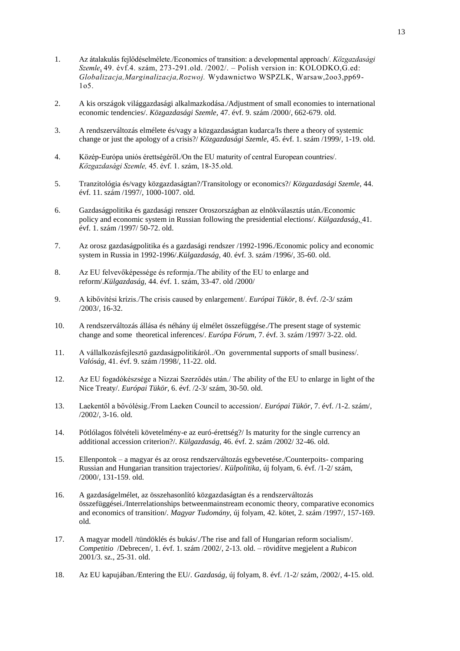- 1. Az átalakulás fejlődéselmélete./Economics of transition: a developmental approach/. *Közgazdasági Szemle*, 49. évf.4. szám, 273-291.old. /2002/. – Polish version in: KOLODKO,G.ed: *Globalizacja,Marginalizacja,Rozwoj.* Wydawnictwo WSPZLK, Warsaw,2oo3,pp69- 1o5.
- 2. A kis országok világgazdasági alkalmazkodása./Adjustment of small economies to international economic tendencies/. *Közgazdasági Szemle,* 47. évf. 9. szám /2000/, 662-679. old.
- 3. A rendszerváltozás elmélete és/vagy a közgazdaságtan kudarca/Is there a theory of systemic change or just the apology of a crisis?/ *Közgazdasági Szemle,* 45. évf. 1. szám /1999/, 1-19. old.
- 4. Közép-Európa uniós érettségéről./On the EU maturity of central European countries/. *Közgazdasági Szemle,* 45. évf. 1. szám, 18-35.old.
- 5. Tranzitológia és/vagy közgazdaságtan?/Transitology or economics?/ *Közgazdasági Szemle,* 44. évf. 11. szám /1997/, 1000-1007. old.
- 6. Gazdaságpolitika és gazdasági renszer Oroszországban az elnökválasztás után./Economic policy and economic system in Russian following the presidential elections/. *Külgazdaság,* 41. évf. 1. szám /1997/ 50-72. old.
- 7. Az orosz gazdaságpolitika és a gazdasági rendszer /1992-1996./Economic policy and economic system in Russia in 1992-1996/.*Külgazdaság,* 40. évf. 3. szám /1996/, 35-60. old.
- 8. Az EU felvevőképessége és reformja./The ability of the EU to enlarge and reform/.*Külgazdaság,* 44. évf. 1. szám, 33-47. old /2000/
- 9. A kibővítési krízis./The crisis caused by enlargement/. *Európai Tükör,* 8. évf. /2-3/ szám /2003/, 16-32.
- 10. A rendszerváltozás állása és néhány új elmélet összefüggése./The present stage of systemic change and some theoretical inferences/. *Európa Fórum,* 7. évf. 3. szám /1997/ 3-22. old.
- 11. A vállalkozásfejlesztő gazdaságpolitikáról../On governmental supports of small business/. *Valóság,* 41. évf. 9. szám /1998/, 11-22. old.
- 12. Az EU fogadókészsége a Nizzai Szerződés után./ The ability of the EU to enlarge in light of the Nice Treaty/. *Európai Tükör,* 6. évf. /2-3/ szám, 30-50. old.
- 13. Laekentől a bővólésig./From Laeken Council to accession/. *Európai Tükör,* 7. évf. /1-2. szám/, /2002/, 3-16. old.
- 14. Pótlólagos fölvételi követelmény-e az euró-érettség?/ Is maturity for the single currency an additional accession criterion?/. *Külgazdaság,* 46. évf. 2. szám /2002/ 32-46. old.
- 15. Ellenpontok a magyar és az orosz rendszerváltozás egybevetése./Counterpoits- comparing Russian and Hungarian transition trajectories/. *Külpolitika,* új folyam, 6. évf. /1-2/ szám, /2000/, 131-159. old.
- 16. A gazdaságelmélet, az összehasonlító közgazdaságtan és a rendszerváltozás összefüggései./Interrelationships betweenmainstream economic theory, comparative economics and economics of transition/. *Magyar Tudomány,* új folyam, 42. kötet, 2. szám /1997/, 157-169. old.
- 17. A magyar modell /tündöklés és bukás/./The rise and fall of Hungarian reform socialism/. *Competitio* /Debrecen/, 1. évf. 1. szám /2002/, 2-13. old. – rövidítve megjelent a *Rubicon*  2001/3. sz., 25-31. old.
- 18. Az EU kapujában./Entering the EU/. *Gazdaság,* új folyam, 8. évf. /1-2/ szám, /2002/, 4-15. old.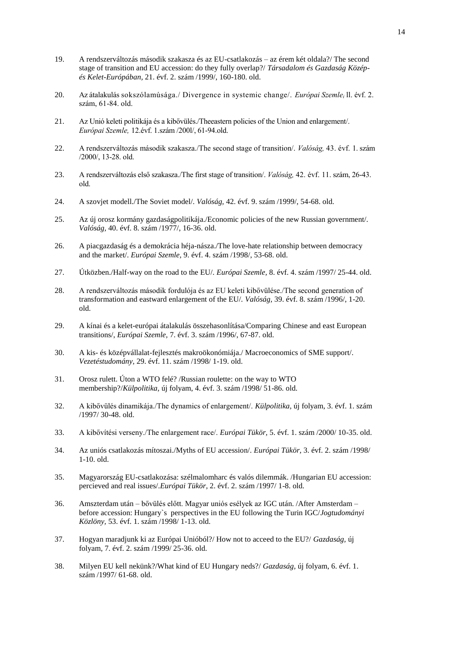- 19. A rendszerváltozás második szakasza és az EU-csatlakozás az érem két oldala?/ The second stage of transition and EU accession: do they fully overlap?/ *Társadalom és Gazdaság Középés Kelet-Európában,* 21. évf. 2. szám /1999/, 160-180. old.
- 20. Az átalakulás sokszólamúsága./ Divergence in systemic change/. *Európai Szemle<sup>i</sup>* ll. évf. 2. szám, 61-84. old.
- 21. Az Unió keleti politikája és a kibővülés./Theeastern policies of the Union and enlargement/. *Európai Szemle,* 12.évf. 1.szám /200l/, 61-94.old.
- 22. A rendszerváltozás második szakasza./The second stage of transition/. *Valóság,* 43. évf. 1. szám /2000/, 13-28. old.
- 23. A rendszerváltozás első szakasza./The first stage of transition/. *Valóság,* 42. évf. 11. szám, 26-43. old.
- 24. A szovjet modell./The Soviet model/. *Valóság,* 42. évf. 9. szám /1999/, 54-68. old.
- 25. Az új orosz kormány gazdaságpolitikája./Economic policies of the new Russian government/. *Valóság,* 40. évf. 8. szám /1977/, 16-36. old.
- 26. A piacgazdaság és a demokrácia héja-násza./The love-hate relationship between democracy and the market/. *Európai Szemle,* 9. évf. 4. szám /1998/, 53-68. old.
- 27. Útközben./Half-way on the road to the EU/. *Európai Szemle,* 8. évf. 4. szám /1997/ 25-44. old.
- 28. A rendszerváltozás második fordulója és az EU keleti kibővülése./The second generation of transformation and eastward enlargement of the EU/. *Valóság,* 39. évf. 8. szám /1996/, 1-20. old.
- 29. A kínai és a kelet-európai átalakulás összehasonlítása/Comparing Chinese and east European transitions/, *Európai Szemle,* 7. évf. 3. szám /1996/, 67-87. old.
- 30. A kis- és középvállalat-fejlesztés makroökonómiája./ Macroeconomics of SME support/. *Vezetéstudomány,* 29. évf. 11. szám /1998/ 1-19. old.
- 31. Orosz rulett. Úton a WTO felé? /Russian roulette: on the way to WTO membership?/*Külpolitika,* új folyam, 4. évf. 3. szám /1998/ 51-86. old.
- 32. A kibővülés dinamikája./The dynamics of enlargement/. *Külpolitika,* új folyam, 3. évf. 1. szám /1997/ 30-48. old.
- 33. A kibővítési verseny./The enlargement race/. *Európai Tükör,* 5. évf. 1. szám /2000/ 10-35. old.
- 34. Az uniós csatlakozás mítoszai./Myths of EU accession/. *Európai Tükör,* 3. évf. 2. szám /1998/ 1-10. old.
- 35. Magyarország EU-csatlakozása: szélmalomharc és valós dilemmák. /Hungarian EU accession: percieved and real issues/.*Európai Tükör,* 2. évf. 2. szám /1997/ 1-8. old.
- 36. Amszterdam után bővülés előtt. Magyar uniós esélyek az IGC után. /After Amsterdam before accession: Hungary`s perspectives in the EU following the Turin IGC/*Jogtudományi Közlöny,* 53. évf. 1. szám /1998/ 1-13. old.
- 37. Hogyan maradjunk ki az Európai Unióból?/ How not to acceed to the EU?/ *Gazdaság,* új folyam, 7. évf. 2. szám /1999/ 25-36. old.
- 38. Milyen EU kell nekünk?/What kind of EU Hungary neds?/ *Gazdaság,* új folyam, 6. évf. 1. szám /1997/ 61-68. old.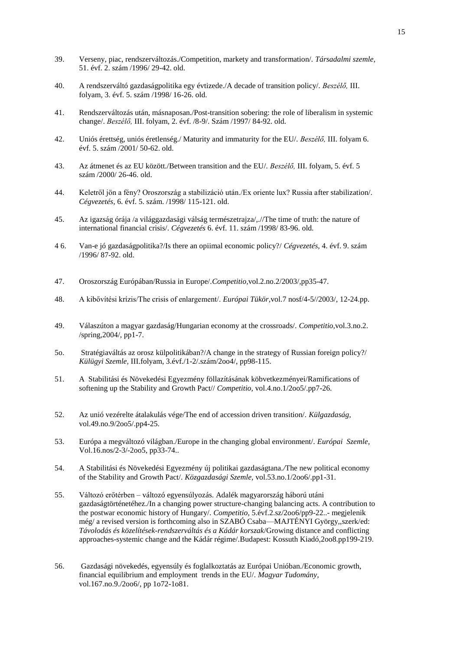- 39. Verseny, piac, rendszerváltozás./Competition, markety and transformation/. *Társadalmi szemle,*  51. évf. 2. szám /1996/ 29-42. old.
- 40. A rendszerváltó gazdaságpolitika egy évtizede./A decade of transition policy/. *Beszélő,* III. folyam, 3. évf. 5. szám /1998/ 16-26. old.
- 41. Rendszerváltozás után, másnaposan./Post-transition sobering: the role of liberalism in systemic change/. *Beszélő,* III. folyam, 2. évf. /8-9/. Szám /1997/ 84-92. old.
- 42. Uniós érettség, uniós éretlenség./ Maturity and immaturity for the EU/. *Beszélő,* III. folyam 6. évf. 5. szám /2001/ 50-62. old.
- 43. Az átmenet és az EU között./Between transition and the EU/. *Beszélő,* III. folyam, 5. évf. 5 szám /2000/ 26-46. old.
- 44. Keletről jön a fény? Oroszország a stabilizáció után./Ex oriente lux? Russia after stabilization/. *Cégvezetés,* 6. évf. 5. szám. /1998/ 115-121. old.
- 45. Az igazság órája /a világgazdasági válság természetrajza/,.//The time of truth: the nature of international financial crisis/. *Cégvezetés* 6. évf. 11. szám /1998/ 83-96. old.
- 4 6. Van-e jó gazdaságpolitika?/Is there an opiimal economic policy?/ *Cégvezetés,* 4. évf. 9. szám /1996/ 87-92. old.
- 47. Oroszország Európában/Russia in Europe/.*Competitio,*vol.2.no.2/2003/,pp35-47.
- 48. A kibővítési krízis/The crisis of enlargement/. *Európai Tükör,*vol.7 nosf/4-5//2003/, 12-24.pp.
- 49. Válaszúton a magyar gazdaság/Hungarian economy at the crossroads/. *Competitio,*vol.3.no.2. /spring,2004/, pp1-7.
- 5o. Stratégiaváltás az orosz külpolitikában?/A change in the strategy of Russian foreign policy?/ *Külügyi Szemle,* III.folyam, 3.évf./1-2/.szám/2oo4/, pp98-115.
- 51. A Stabilitási és Növekedési Egyezmény föllazításának köbvetkezményei/Ramifications of softening up the Stability and Growth Pact// *Competitio,* vol.4.no.1/2oo5/.pp7-26.
- 52. Az unió vezérelte átalakulás vége/The end of accession driven transition/. *Külgazdaság,* vol.49.no.9/2oo5/.pp4-25.
- 53. Európa a megváltozó világban./Europe in the changing global environment/. *Európai Szemle,* Vol.16.nos/2-3/-2oo5, pp33-74..
- 54. A Stabilitási és Növekedési Egyezmény új politikai gazdaságtana.*/*The new political economy of the Stability and Growth Pact/. *Közgazdasági Szemle,* vol.53.no.1/2oo6/.pp1-31.
- 55. Változó erőtérben – változó egyensúlyozás. Adalék magyarország háború utáni gazdaságtörténetéhez./In a changing power structure-changing balancing acts. A contribution to the postwar economic history of Hungary/. *Competitio,* 5.évf.2.sz/2oo6/pp9-22..- megjelenik még/ a revised version is forthcoming also in SZABÓ Csaba—MAJTÉNYI György,,szerk/ed: *Távolodás és közelítések-rendszerváltás és a Kádár korszak*/Growing distance and conflicting approaches-systemic change and the Kádár régime/*.*Budapest: Kossuth Kiadó,2oo8.pp199-219.
- 56. Gazdasági növekedés, egyensúly és foglalkoztatás az Európai Unióban./Economic growth, financial equilibrium and employment trends in the EU/. *Magyar Tudomány,* vol.167.no.9./2oo6/, pp 1o72-1o81.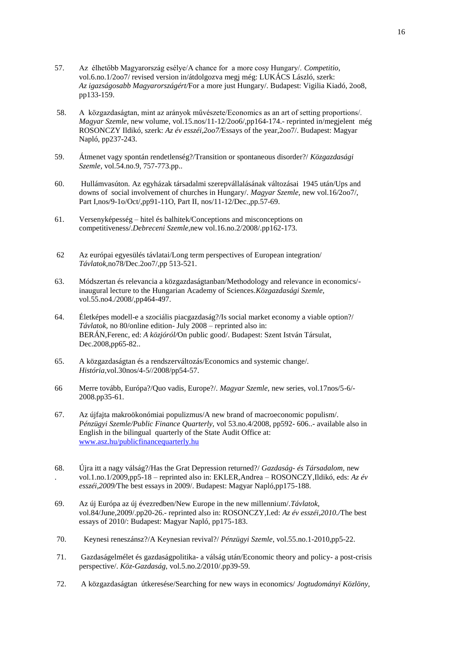- 57. Az élhetőbb Magyarország esélye/A chance for a more cosy Hungary/. *Competitio,* vol.6.no.1/2oo7/ revised version in/átdolgozva megj még: LUKÁCS László, szerk: *Az igazságosabb Magyarországért/*For a more just Hungary/. Budapest: Vigilia Kiadó, 2oo8, pp133-159.
- 58. A közgazdaságtan, mint az arányok művészete/Economics as an art of setting proportions/. *Magyar Szemle,* new volume, vol.15.nos/11-12/2006/,pp164-174.- reprinted in/megjelent még ROSONCZY Ildikó, szerk: *Az év esszéi,2oo7/*Essays of the year,2oo7/. Budapest: Magyar Napló, pp237-243.
- 59. Átmenet vagy spontán rendetlenség?/Transition or spontaneous disorder?/ *Közgazdasági Szemle,* vol.54.no.9, 757-773.pp..
- 60. Hullámvasúton. Az egyházak társadalmi szerepvállalásának változásai 1945 után/Ups and downs of social involvement of churches in Hungary/. *Magyar Szemle,* new vol.16/2oo7/, Part I,nos/9-1o/Oct/,pp91-11O, Part II, nos/11-12/Dec.,pp.57-69.
- 61. Versenyképesség – hitel és balhitek/Conceptions and misconceptions on competitiveness/.*Debreceni Szemle,*new vol.16.no.2/2008/.pp162-173.
- 62 Az európai egyesülés távlatai/Long term perspectives of European integration/ *Távlatok,*no78/Dec.2oo7/,pp 513-521.
- 63. Módszertan és relevancia a közgazdaságtanban/Methodology and relevance in economics/ inaugural lecture to the Hungarian Academy of Sciences.*Közgazdasági Szemle,* vol.55.no4./2008/,pp464-497.
- 64. Életképes modell-e a szociális piacgazdaság?/Is social market economy a viable option?/ *Távlatok,* no 80/online edition- July 2008 – reprinted also in: BERÁN,Ferenc, ed: *A közjóról/*On public good/. Budapest: Szent István Társulat, Dec.2008,pp65-82..
- 65. A közgazdaságtan és a rendszerváltozás/Economics and systemic change/. *História,*vol.30nos/4-5//2008/pp54-57.
- 66 Merre tovább, Európa?/Quo vadis, Europe?/. *Magyar Szemle,* new series, vol.17nos/5-6/- 2008.pp35-61.
- 67. Az újfajta makroökonómiai populizmus/A new brand of macroeconomic populism/. *Pénzügyi Szemle/Public Finance Quarterly,* vol 53.no.4/2008, pp592- 606..- available also in English in the bilingual quarterly of the State Audit Office at: [www.asz.hu/publicfinancequarterly.hu](http://www.asz.hu/publicfinancequarterly.hu)
- 68. . Újra itt a nagy válság?/Has the Grat Depression returned?/ *Gazdaság- és Társadalom,* new vol.1.no.1/2009,pp5-18 – reprinted also in: EKLER,Andrea – ROSONCZY,Ildikó, eds: *Az év esszéi,2009/*The best essays in 2009/. Budapest: Magyar Napló,pp175-188.
- 69. Az új Európa az új évezredben/New Europe in the new millennium/.*Távlatok,* vol.84/June,2009/.pp20-26.- reprinted also in: ROSONCZY,I.ed: *Az év esszéi,2010./*The best essays of 2010/: Budapest: Magyar Napló, pp175-183.
- 70.Keynesi reneszánsz?/A Keynesian revival?/ *Pénzügyi Szemle,* vol.55.no.1-2010,pp5-22.
- 71. Gazdaságelmélet és gazdaságpolitika- a válság után/Economic theory and policy- a post-crisis perspective/. *Köz-Gazdaság,* vol.5.no.2/2010/.pp39-59.
- 72. A közgazdaságtan útkeresése/Searching for new ways in economics/ *Jogtudományi Közlöny,*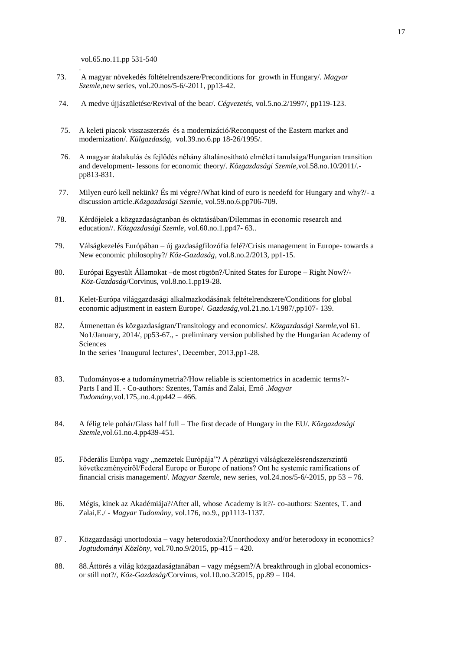vol.65.no.11.pp 531-540

.

- 73. A magyar növekedés föltételrendszere/Preconditions for growth in Hungary/. *Magyar Szemle,*new series, vol.20.nos/5-6/-2011, pp13-42.
- 74. A medve újjászületése/Revival of the bear/. *Cégvezetés,* vol.5.no.2/1997/, pp119-123.
- 75. A keleti piacok visszaszerzés és a modernizáció/Reconquest of the Eastern market and modernization/. *Külgazdaság,* vol.39.no.6.pp 18-26/1995/.
- 76. A magyar átalakulás és fejlődés néhány általánosítható elméleti tanulsága/Hungarian transition and development- lessons for economic theory/. *Közgazdasági Szemle,*vol.58.no.10/2011/. pp813-831.
- 77. Milyen euró kell nekünk? És mi végre?/What kind of euro is needefd for Hungary and why?/- a discussion article.*Közgazdasági Szemle,* vol.59.no.6.pp706-709.
- 78. Kérdőjelek a közgazdaságtanban és oktatásában/Dilemmas in economic research and education//. *Közgazdasági Szemle,* vol.60.no.1.pp47- 63..
- 79. Válságkezelés Európában – új gazdaságfilozófia felé?/Crisis management in Europe- towards a New economic philosophy?/ *Köz-Gazdaság,* vol.8.no.2/2013, pp1-15.
- 80. Európai Egyesült Államokat –de most rögtön?/United States for Europe – Right Now?/- *Köz-Gazdaság*/Corvinus, vol.8.no.1.pp19-28.
- 81. Kelet-Európa világgazdasági alkalmazkodásának feltételrendszere/Conditions for global economic adjustment in eastern Europe/. *Gazdaság,*vol.21.no.1/1987/,pp107- 139.
- 82. Átmenettan és közgazdaságtan/Transitology and economics/. *Közgazdasági Szemle,*vol 61. No1/January, 2014/, pp53-67., - preliminary version published by the Hungarian Academy of Sciences In the series 'Inaugural lectures', December, 2013,pp1-28.
- 83. Tudományos-e a tudománymetria?/How reliable is scientometrics in academic terms?/- Parts I and II. - Co-authors: Szentes, Tamás and Zalai, Ernő .*Magyar Tudomány,*vol.175,.no.4.pp442 – 466.
- 84. A félig tele pohár/Glass half full – The first decade of Hungary in the EU/. *Közgazdasági Szemle,*vol.61.no.4.pp439-451.
- 85. Föderális Európa vagy "nemzetek Európája"? A pénzügyi válságkezelésrendszerszintű következményeiről/Federal Europe or Europe of nations? Ont he systemic ramifications of financial crisis management/. *Magyar Szemle,* new series, vol.24.nos/5-6/-2015, pp 53 – 76.
- 86. Mégis, kinek az Akadémiája?/After all, whose Academy is it?/- co-authors: Szentes, T. and Zalai,E./ - *Magyar Tudomány,* vol.176, no.9., pp1113-1137.
- 87 . Közgazdasági unortodoxia – vagy heterodoxia?/Unorthodoxy and/or heterodoxy in economics? *Jogtudományi Közlöny,* vol.70.no.9/2015, pp-415 – 420.
- 88. 88.Áttörés a világ közgazdaságtanában – vagy mégsem?/A breakthrough in global economicsor still not?/, *Köz-Gazdaság/*Corvinus, vol.10.no.3/2015, pp.89 – 104.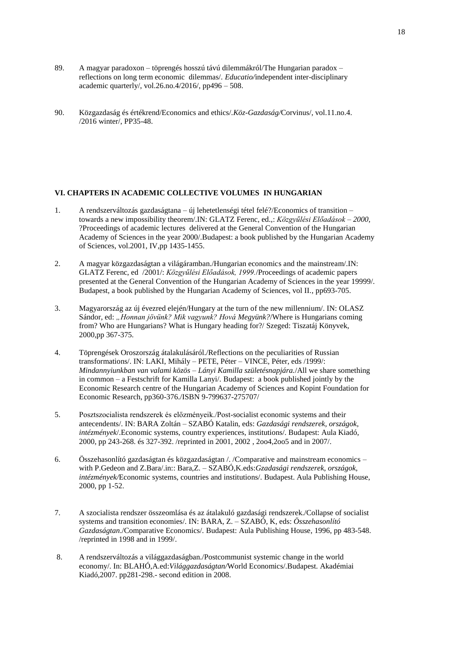- 89. A magyar paradoxon – töprengés hosszú távú dilemmákról/The Hungarian paradox – reflections on long term economic dilemmas/. *Educatio/*independent inter-disciplinary academic quarterly/, vol.26.no.4/2016/, pp496 – 508.
- 90. Közgazdaság és értékrend/Economics and ethics/.*Köz-Gazdaság/*Corvinus/, vol.11.no.4. /2016 winter/, PP35-48.

#### **VI. CHAPTERS IN ACADEMIC COLLECTIVE VOLUMES IN HUNGARIAN**

- 1. A rendszerváltozás gazdaságtana új lehetetlenségi tétel felé?/Economics of transition towards a new impossibility theorem/.IN: GLATZ Ferenc, ed.,: *Közgyűlési Előadások – 2000,* ?Proceedings of academic lectures delivered at the General Convention of the Hungarian Academy of Sciences in the year 2000/.Budapest: a book published by the Hungarian Academy of Sciences, vol.2001, IV,pp 1435-1455.
- 2. A magyar közgazdaságtan a világáramban./Hungarian economics and the mainstream/.IN: GLATZ Ferenc, ed /2001/: *Közgyűlési Előadások, 1999.*/Proceedings of academic papers presented at the General Convention of the Hungarian Academy of Sciences in the year 19999/. Budapest, a book published by the Hungarian Academy of Sciences, vol II., pp693-705.
- 3. Magyarország az új évezred elején/Hungary at the turn of the new millennium/. IN: OLASZ Sándor, ed: "*Honnan jövünk? Mik vagyunk? Hová Megyünk?*/Where is Hungarians coming from? Who are Hungarians? What is Hungary heading for?/ Szeged: Tiszatáj Könyvek, 2000,pp 367-375.
- 4. Töprengések Oroszország átalakulásáról./Reflections on the peculiarities of Russian transformations/. IN: LAKI, Mihály – PETE, Péter – VINCE, Péter, eds /1999/: *Mindannyiunkban van valami közös – Lányi Kamilla születésnapjára.*/All we share something in common – a Festschrift for Kamilla Lanyi/*.* Budapest: a book published jointly by the Economic Research centre of the Hungarian Academy of Sciences and Kopint Foundation for Economic Research, pp360-376./ISBN 9-799637-275707/
- 5. Posztszocialista rendszerek és előzményeik./Post-socialist economic systems and their antecendents/. IN: BARA Zoltán – SZABÓ Katalin, eds: *Gazdasági rendszerek, országok, intézmények*/.Economic systems, country experiences, institutions/. Budapest: Aula Kiadó, 2000, pp 243-268. és 327-392. /reprinted in 2001, 2002 , 2oo4,2oo5 and in 2007/.
- 6. Összehasonlító gazdaságtan és közgazdaságtan /. /Comparative and mainstream economics with P.Gedeon and Z.Bara/.in:: Bara,Z. – SZABÓ,K.eds:*Gzadasági rendszerek, országok, intézmények/*Economic systems, countries and institutions/. Budapest. Aula Publishing House, 2000, pp 1-52.
- 7. A szocialista rendszer összeomlása és az átalakuló gazdasági rendszerek./Collapse of socialist systems and transition economies/. IN: BARA, Z. – SZABÓ, K, eds: *Összehasonlító Gazdaságtan*./Comparative Economics/*.* Budapest: Aula Publishing House, 1996, pp 483-548. /reprinted in 1998 and in 1999/.
- 8. A rendszerváltozás a világgazdaságban./Postcommunist systemic change in the world economy/. In: BLAHÓ,A.ed:*Világgazdaságtan/*World Economics/.Budapest. Akadémiai Kiadó,2007. pp281-298.- second edition in 2008.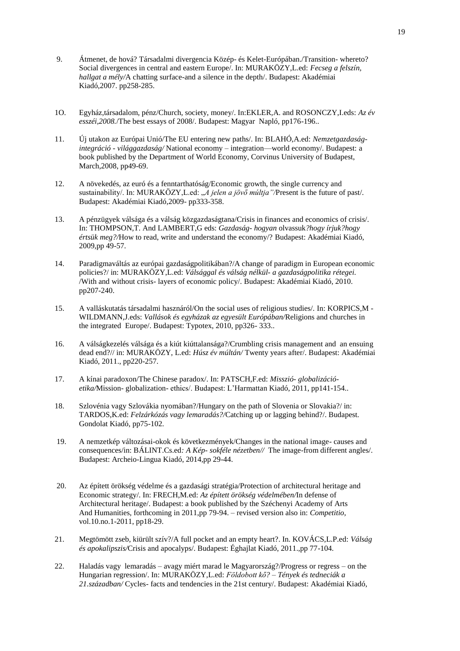- 9. Átmenet, de hová? Társadalmi divergencia Közép- és Kelet-Európában./Transition- whereto? Social divergences in central and eastern Europe/. In: MURAKÖZY,L.ed: *Fecseg a felszín, hallgat a mély/*A chatting surface-and a silence in the depth/. Budapest: Akadémiai Kiadó,2007. pp258-285.
- 1O. Egyház,társadalom, pénz/Church, society, money/. In:EKLER,A. and ROSONCZY,I.eds: *Az év esszéi,2008.*/The best essays of 2008/. Budapest: Magyar Napló, pp176-196..
- 11. Új utakon az Európai Unió/The EU entering new paths/. In: BLAHÓ,A.ed: *Nemzetgazdaságintegráció - világgazdaság/* National economy – integration—world economy/. Budapest: a book published by the Department of World Economy, Corvinus University of Budapest, March,2008, pp49-69.
- 12. A növekedés, az euró és a fenntarthatóság/Economic growth, the single currency and sustainability/. In: MURAKÖZY, L.ed: *A jelen a jövő múltja* "/Present is the future of past/. Budapest: Akadémiai Kiadó,2009- pp333-358.
- 13. A pénzügyek válsága és a válság közgazdaságtana/Crisis in finances and economics of crisis/. In: THOMPSON,T. And LAMBERT,G eds: *Gazdaság- hogyan* olvassuk*?hogy írjuk?hogy értsük meg?/*How to read, write and understand the economy/? Budapest: Akadémiai Kiadó, 2009,pp 49-57.
- 14. Paradigmaváltás az európai gazdaságpolitikában?/A change of paradigm in European economic policies?/ in: MURAKÖZY,L.ed: *Válsággal és válság nélkül- a gazdaságpolitika rétegei.*  /With and without crisis- layers of economic policy/. Budapest: Akadémiai Kiadó, 2010. pp207-240.
- 15. A valláskutatás társadalmi hasznáról/On the social uses of religious studies/. In: KORPICS,M - WILDMANN,J.eds: *Vallások és egyházak az egyesült Európában/*Religions and churches in the integrated Europe/. Budapest: Typotex, 2010, pp326- 333..
- 16. A válságkezelés válsága és a kiút kiúttalansága?/Crumbling crisis management and an ensuing dead end?// in: MURAKÖZY, L.ed: *Húsz év múltán/* Twenty years after/. Budapest: Akadémiai Kiadó, 2011., pp220-257.
- 17. A kínai paradoxon/The Chinese paradox/. In: PATSCH,F.ed: *Misszió- globalizációetika/*Mission- globalization- ethics/. Budapest: L'Harmattan Kiadó, 2011, pp141-154..
- 18. Szlovénia vagy Szlovákia nyomában?/Hungary on the path of Slovenia or Slovakia?/ in: TARDOS,K.ed: *Felzárkózás vagy lemaradás?/*Catching up or lagging behind?/. Budapest. Gondolat Kiadó, pp75-102.
- 19. A nemzetkép változásai-okok és következmények/Changes in the national image- causes and consequences/in: BÁLINT.Cs.ed*: A Kép- sokféle nézetben//* The image-from different angles/. Budapest: Archeio-Lingua Kiadó, 2014,pp 29-44.
- 20. Az épített örökség védelme és a gazdasági stratégia/Protection of architectural heritage and Economic strategy/. In: FRECH,M.ed: *Az épített örökség védelmében/*In defense of Architectural heritage/. Budapest: a book published by the Széchenyi Academy of Arts And Humanities, forthcoming in 2011,pp 79-94. – revised version also in: *Competitio,* vol.10.no.1-2011, pp18-29.
- 21. Megtömött zseb, kiürült szív?/A full pocket and an empty heart?. In. KOVÁCS,L.P.ed: *Válság és apokalipszis/*Crisis and apocalyps/. Budapest: Éghajlat Kiadó, 2011.,pp 77-104.
- 22. Haladás vagy lemaradás – avagy miért marad le Magyarország?/Progress or regress – on the Hungarian regression/. In: MURAKÖZY,L.ed: *Földobott kő? – Tények és tedneciák a 21.században/* Cycles- facts and tendencies in the 21st century/. Budapest: Akadémiai Kiadó,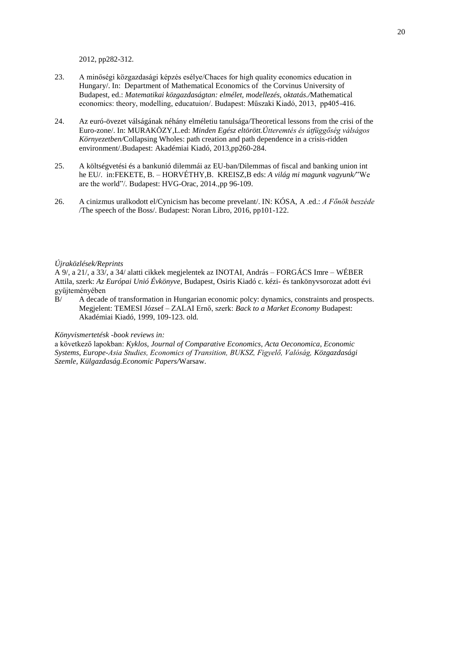2012, pp282-312.

- 23. A minőségi közgazdasági képzés esélye/Chaces for high quality economics education in Hungary/. In: Department of Mathematical Economics of the Corvinus University of Budapest, ed.: *Matematikai közgazdaságtan: elmélet, modellezés, oktatás./*Mathematical economics: theory, modelling, educatuion/. Budapest: Műszaki Kiadó, 2013, pp405-416.
- 24. Az euró-övezet válságának néhány elméletiu tanulsága/Theoretical lessons from the crisi of the Euro-zone/. In: MURAKÖZY,L.ed: *Minden Egész eltörött.Útteremtés és útfüggőség válságos Környezetben/*Collapsing Wholes: path creation and path dependence in a crisis-ridden environment/.Budapest: Akadémiai Kiadó, 2013,pp260-284.
- 25. A költségvetési és a bankunió dilemmái az EU-ban/Dilemmas of fiscal and banking union int he EU/. in:FEKETE, B. – HORVÉTHY,B. KREISZ,B eds: *A világ mi magunk vagyunk/*"We are the world"/*.* Budapest: HVG-Orac, 2014.,pp 96-109.
- 26. A cinizmus uralkodott el/Cynicism has become prevelant/. IN: KÓSA, A .ed.: *A Főnök beszéde* /The speech of the Boss/. Budapest: Noran Libro, 2016, pp101-122.

#### *Újraközlések/Reprints*

A 9/, a 21/, a 33/, a 34/ alatti cikkek megjelentek az INOTAI, András – FORGÁCS Imre – WÉBER Attila, szerk: *Az Európai Unió Évkönyve,* Budapest, Osiris Kiadó c. kézi- és tankönyvsorozat adott évi gyűjteményében

B/ A decade of transformation in Hungarian economic polcy: dynamics, constraints and prospects. Megjelent: TEMESI József – ZALAI Ernő, szerk: *Back to a Market Economy* Budapest: Akadémiai Kiadó, 1999, 109-123. old.

# *Könyvismertetésk -book reviews in:*

a következő lapokban: *Kyklos, Journal of Comparative Economics, Acta Oeconomica, Economic Systems, Europe-Asia Studies, Economics of Transition, BUKSZ, Figyelő, Valóság, Közgazdasági Szemle, Külgazdaság.Economic Papers/*Warsaw.